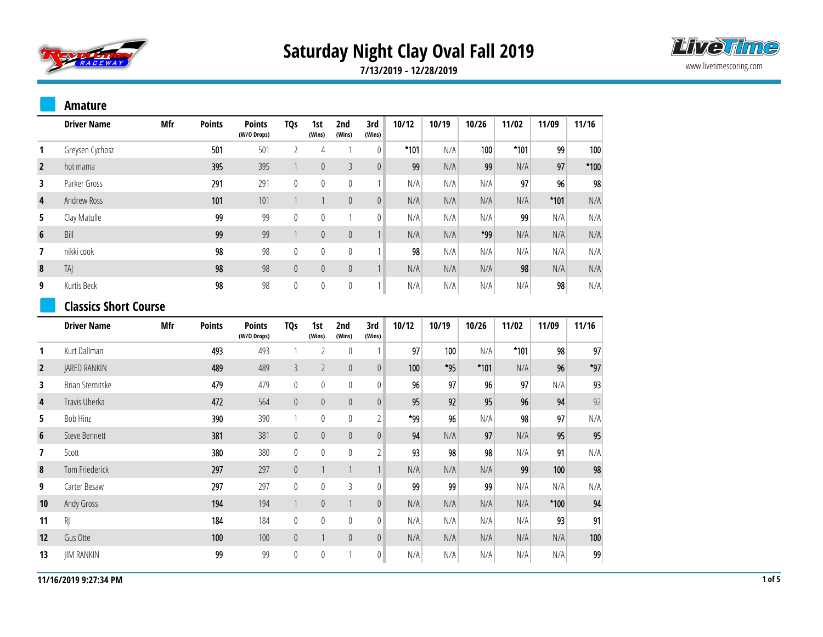



**7/13/2019 - 12/28/2019**

#### **Amature**

|                | <b>Driver Name</b> | Mfr | <b>Points</b> | <b>Points</b><br>(W/O Drops) | TQs         | 1st<br>(Wins)  | 2nd<br>(Wins) | 3rd<br>(Wins)  | 10/12  | 10/19 | 10/26 | 11/02  | 11/09           | 11/16  |
|----------------|--------------------|-----|---------------|------------------------------|-------------|----------------|---------------|----------------|--------|-------|-------|--------|-----------------|--------|
|                | Greysen Cychosz    |     | 501           | 501                          |             | 4              |               | 0              | $*101$ | N/A   | 100   | $*101$ | 99              | 100    |
| $\overline{2}$ | hot mama           |     | 395           | 395                          |             | $\overline{0}$ | 3             | $\theta$       | 99     | N/A   | 99    | N/A    | 97              | $*100$ |
| 3              | Parker Gross       |     | 291           | 291                          | $\theta$    | $\theta$       | $\theta$      | $\overline{ }$ | N/A    | N/A   | N/A   | 97     | 96 <sub>1</sub> | 98     |
| 4              | Andrew Ross        |     | 101           | 101                          |             |                | $\theta$      | $\mathbf{0}$   | N/A    | N/A   | N/A   | N/A    | $*101$          | N/A    |
| 5              | Clay Matulle       |     | 99            | 99                           | $\theta$    | $\theta$       |               | 0              | N/A    | N/A   | N/A   | 99     | N/A             | N/A    |
| 6              | Bill               |     | 99            | 99                           |             | $\theta$       | $\theta$      |                | N/A    | N/A   | *99   | N/A    | N/A             | N/A    |
|                | nikki cook         |     | 98            | 98                           | $\theta$    | $\theta$       | $\mathbf{0}$  |                | 98     | N/A   | N/A   | N/A    | N/A             | N/A    |
| 8              | <b>TAJ</b>         |     | 98            | 98                           | $\mathbf 0$ | $\theta$       | $\theta$      |                | N/A    | N/A   | N/A   | 98     | N/A             | N/A    |
| 9              | Kurtis Beck        |     | 98            | 98                           | $\theta$    | $\theta$       | $\theta$      |                | N/A    | N/A   | N/A   | N/A    | 98              | N/A    |

#### **Classics Short Course**

|                | <b>Driver Name</b>  | Mfr | <b>Points</b> | <b>Points</b><br>(W/O Drops) | <b>TQs</b>   | 1st<br>(Wins)  | 2nd<br>(Wins) | 3rd<br>(Wins)  | 10/12 | 10/19 | 10/26  | 11/02  | 11/09  | 11/16 |
|----------------|---------------------|-----|---------------|------------------------------|--------------|----------------|---------------|----------------|-------|-------|--------|--------|--------|-------|
| 1              | Kurt Dallman        |     | 493           | 493                          | 1            | 2              | $\mathbf{0}$  |                | 97    | 100   | N/A    | $*101$ | 98     | 97    |
| $\overline{2}$ | <b>JARED RANKIN</b> |     | 489           | 489                          | 3            | $\overline{2}$ | $\theta$      | $\overline{0}$ | 100   | *95   | $*101$ | N/A    | 96     | $*97$ |
| 3              | Brian Sternitske    |     | 479           | 479                          | $\bf{0}$     | 0              | $\mathbf{0}$  | 0              | 96    | 97    | 96     | 97     | N/A    | 93    |
| 4              | Travis Uherka       |     | 472           | 564                          | $\pmb{0}$    | 0              | $\theta$      | $\overline{0}$ | 95    | 92    | 95     | 96     | 94     | 92    |
| 5.             | Bob Hinz            |     | 390           | 390                          | 1            | $\mathbf{0}$   | $\mathbf{0}$  | $\overline{2}$ | *99   | 96    | N/A    | 98     | 97     | N/A   |
| 6              | Steve Bennett       |     | 381           | 381                          | $\mathbf{0}$ | 0              | $\theta$      | $\overline{0}$ | 94    | N/A   | 97     | N/A    | 95     | 95    |
| 7              | Scott               |     | 380           | 380                          | $\bf{0}$     | $\mathbf{0}$   | $\theta$      | $\overline{2}$ | 93    | 98    | 98     | N/A    | 91     | N/A   |
| 8              | Tom Friederick      |     | 297           | 297                          | $\pmb{0}$    | $\mathbf{1}$   |               | $\mathbf{1}$   | N/A   | N/A   | N/A    | 99     | 100    | 98    |
| 9              | Carter Besaw        |     | 297           | 297                          | $\bf{0}$     | 0              | 3             | $\theta$       | 99    | 99    | 99     | N/A    | N/A    | N/A   |
| 10             | Andy Gross          |     | 194           | 194                          | 1            | 0              |               | $\overline{0}$ | N/A   | N/A   | N/A    | N/A    | $*100$ | 94    |
| 11             | RJ                  |     | 184           | 184                          | $\bf{0}$     | $\mathbf{0}$   | $\theta$      | $\mathbf 0$    | N/A   | N/A   | N/A    | N/A    | 93     | 91    |
| 12             | Gus Otte            |     | 100           | 100                          | $\pmb{0}$    |                | $\theta$      | $\overline{0}$ | N/A   | N/A   | N/A    | N/A    | N/A    | 100   |
| 13             | <b>JIM RANKIN</b>   |     | 99            | 99                           | $\bf{0}$     | 0              |               | $\bf{0}$       | N/A   | N/A   | N/A    | N/A    | N/A    | 99    |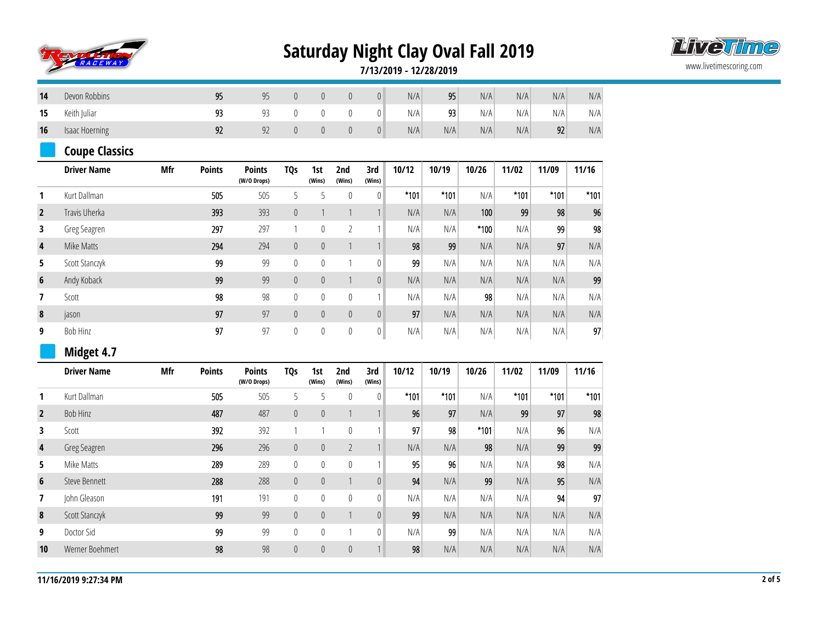



**7/13/2019 - 12/28/2019**

| 14             | Devon Robbins         |     | 95            | 95                           | $\pmb{0}$       | $\overline{0}$   | $\boldsymbol{0}$ | $\boldsymbol{0}$ | N/A    | 95     | N/A    | N/A    | N/A    | N/A    |
|----------------|-----------------------|-----|---------------|------------------------------|-----------------|------------------|------------------|------------------|--------|--------|--------|--------|--------|--------|
| 15             | Keith Juliar          |     | 93            | 93                           | $\mathbb O$     | $\mathbf 0$      | $\mathbb O$      | $\mathbf{0}$     | N/A    | 93     | N/A    | N/A    | N/A    | N/A    |
| 16             | <b>Isaac Hoerning</b> |     | 92            | 92                           | $\pmb{0}$       | $\pmb{0}$        | $\mathbf 0$      | $\boldsymbol{0}$ | N/A    | N/A    | N/A    | N/A    | 92     | N/A    |
|                | <b>Coupe Classics</b> |     |               |                              |                 |                  |                  |                  |        |        |        |        |        |        |
|                | <b>Driver Name</b>    | Mfr | <b>Points</b> | <b>Points</b><br>(W/O Drops) | TQ <sub>S</sub> | 1st<br>(Wins)    | 2nd<br>(Wins)    | 3rd<br>(Wins)    | 10/12  | 10/19  | 10/26  | 11/02  | 11/09  | 11/16  |
| 1              | Kurt Dallman          |     | 505           | 505                          | 5               | 5                | $\boldsymbol{0}$ | $\pmb{0}$        | $*101$ | $*101$ | N/A    | $*101$ | $*101$ | $*101$ |
| $\overline{2}$ | Travis Uherka         |     | 393           | 393                          | $\mathbf{0}$    | $\mathbf{1}$     | $\mathbf{1}$     | $\mathbf{1}$     | N/A    | N/A    | 100    | 99     | 98     | 96     |
| 3              | Greg Seagren          |     | 297           | 297                          | 1               | $\boldsymbol{0}$ | $\overline{2}$   | $\mathbf{1}$     | N/A    | N/A    | $*100$ | N/A    | 99     | 98     |
| $\pmb{4}$      | Mike Matts            |     | 294           | 294                          | $\mathbb O$     | $\mathbf 0$      | $\mathbf{1}$     | $\mathbf{1}$     | 98     | 99     | N/A    | N/A    | 97     | N/A    |
| 5              | Scott Stanczyk        |     | 99            | 99                           | $\mathbf{0}$    | $\mathbf 0$      | $\mathbf{1}$     | $\boldsymbol{0}$ | 99     | N/A    | N/A    | N/A    | N/A    | N/A    |
| $6\phantom{1}$ | Andy Koback           |     | 99            | 99                           | $\theta$        | $\mathbf{0}$     | $\mathbf{1}$     | $\mathbb O$      | N/A    | N/A    | N/A    | N/A    | N/A    | 99     |
| 7              | Scott                 |     | 98            | 98                           | $\pmb{0}$       | $\mathbf 0$      | $\mathbb O$      | 1                | N/A    | N/A    | 98     | N/A    | N/A    | N/A    |
| $\pmb{8}$      | jason                 |     | 97            | 97                           | $\mathbf 0$     | $\pmb{0}$        | $\mathbb O$      | $\mathbb O$      | 97     | N/A    | N/A    | N/A    | N/A    | N/A    |
| 9              | Bob Hinz              |     | 97            | 97                           | $\mathbf{0}$    | $\mathbb O$      | $\boldsymbol{0}$ | 0                | N/A    | N/A    | N/A    | N/A    | N/A    | 97     |
|                | Midget 4.7            |     |               |                              |                 |                  |                  |                  |        |        |        |        |        |        |
|                | <b>Driver Name</b>    | Mfr | <b>Points</b> | <b>Points</b><br>(W/O Drops) | <b>TQs</b>      | 1st<br>(Wins)    | 2nd<br>(Wins)    | 3rd<br>(Wins)    | 10/12  | 10/19  | 10/26  | 11/02  | 11/09  | 11/16  |
| 1              | Kurt Dallman          |     | 505           | 505                          | 5               | 5                | $\pmb{0}$        | $\pmb{0}$        | $*101$ | $*101$ | N/A    | $*101$ | $*101$ | $*101$ |
| $\overline{2}$ | Bob Hinz              |     | 487           | 487                          | $\mathbf 0$     | $\mathbf 0$      | $\mathbf{1}$     | $\mathbf{1}$     | 96     | 97     | N/A    | 99     | 97     | 98     |
| 3              | Scott                 |     | 392           | 392                          | 1               | $\mathbf{1}$     | $\mathbb O$      | $\mathbf{1}$     | 97     | 98     | $*101$ | N/A    | 96     | N/A    |
| 4              | Greg Seagren          |     | 296           | 296                          | $\mathbb O$     | $\overline{0}$   | $\overline{2}$   | $\mathbf{1}$     | N/A    | N/A    | 98     | N/A    | 99     | 99     |
| 5              | Mike Matts            |     | 289           | 289                          | 0               | 0                | $\bf{0}$         | 1                | 95     | 96     | N/A    | N/A    | 98     | N/A    |
| 6              | Steve Bennett         |     | 288           | 288                          | $\mathbf 0$     | $\mathbf 0$      | $\mathbf{1}$     | $\mathbf 0$      | 94     | N/A    | 99     | N/A    | 95     | N/A    |
| 7              | John Gleason          |     | 191           | 191                          | $\mathbb{0}$    | $\mathbf 0$      | $\mathbb O$      | $\pmb{0}$        | N/A    | N/A    | N/A    | N/A    | 94     | 97     |
| 8              | Scott Stanczyk        |     | 99            | 99                           | $\overline{0}$  | $\pmb{0}$        | $\mathbf{1}$     | $\mathbf 0$      | 99     | N/A    | N/A    | N/A    | N/A    | N/A    |
| 9              | Doctor Sid            |     | 99            | 99                           | $\pmb{0}$       | $\bf{0}$         | 1                | 0                | N/A    | 99     | N/A    | N/A    | N/A    | N/A    |
| 10             | Werner Boehmert       |     | 98            | 98                           | $\theta$        | $\overline{0}$   | $\mathbf 0$      | $\mathbf{1}$     | 98     | N/A    | N/A    | N/A    | N/A    | N/A    |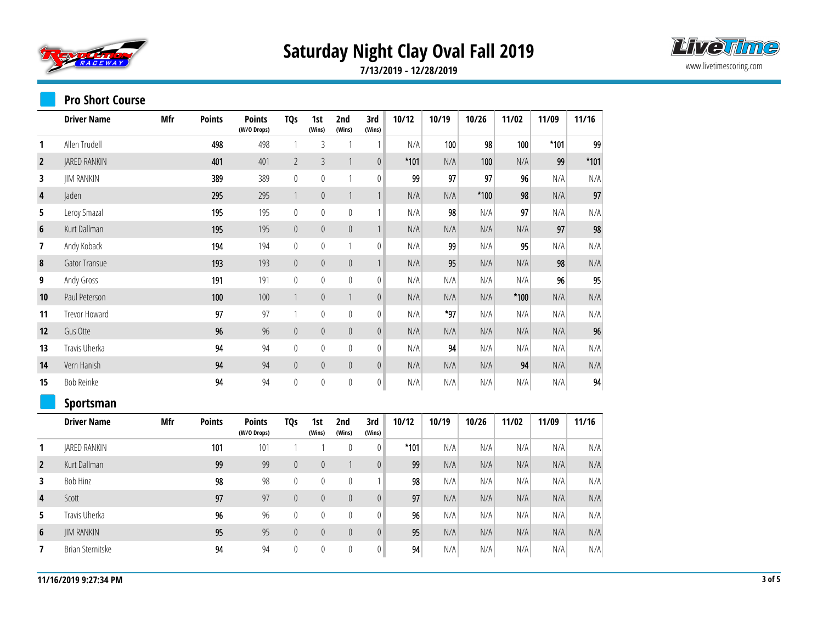



**7/13/2019 - 12/28/2019**

#### **Pro Short Course**

|                | <b>Driver Name</b>  | Mfr | <b>Points</b> | <b>Points</b><br>(W/O Drops) | <b>TQs</b>       | 1st<br>(Wins)    | 2nd<br>(Wins) | 3rd<br>(Wins)    | 10/12  | 10/19 | 10/26  | 11/02  | 11/09  | 11/16  |
|----------------|---------------------|-----|---------------|------------------------------|------------------|------------------|---------------|------------------|--------|-------|--------|--------|--------|--------|
| 1              | Allen Trudell       |     | 498           | 498                          | $\mathbf{1}$     | 3                | 1             | $\mathbf{1}$     | N/A    | 100   | 98     | 100    | $*101$ | 99     |
| $\overline{2}$ | JARED RANKIN        |     | 401           | 401                          | $\overline{2}$   | $\overline{3}$   | $\mathbf{1}$  | $\mathbb O$      | $*101$ | N/A   | 100    | N/A    | 99     | $*101$ |
| 3              | <b>JIM RANKIN</b>   |     | 389           | 389                          | $\mathbf 0$      | $\bf{0}$         | 1             | $\bf{0}$         | 99     | 97    | 97     | 96     | N/A    | N/A    |
| 4              | Jaden               |     | 295           | 295                          | $\mathbf{1}$     | $\pmb{0}$        | $\mathbf{1}$  | $\mathbf{1}$     | N/A    | N/A   | $*100$ | 98     | N/A    | 97     |
| 5              | Leroy Smazal        |     | 195           | 195                          | $\boldsymbol{0}$ | $\boldsymbol{0}$ | $\mathbb O$   | $\mathbf{1}$     | N/A    | 98    | N/A    | 97     | N/A    | N/A    |
| 6              | Kurt Dallman        |     | 195           | 195                          | $\boldsymbol{0}$ | $\mathbf 0$      | $\mathbf 0$   | $\mathbf{1}$     | N/A    | N/A   | N/A    | N/A    | 97     | 98     |
| 7              | Andy Koback         |     | 194           | 194                          | $\boldsymbol{0}$ | $\boldsymbol{0}$ | $\mathbf{1}$  | $\mathbb O$      | N/A    | 99    | N/A    | 95     | N/A    | N/A    |
| $\pmb{8}$      | Gator Transue       |     | 193           | 193                          | $\mathbb O$      | $\boldsymbol{0}$ | $\mathbf 0$   | $\mathbf{1}$     | N/A    | 95    | N/A    | N/A    | 98     | N/A    |
| 9              | Andy Gross          |     | 191           | 191                          | $\mathbf 0$      | $\bf{0}$         | $\pmb{0}$     | $\bf{0}$         | N/A    | N/A   | N/A    | N/A    | 96     | 95     |
| 10             | Paul Peterson       |     | 100           | 100                          | $\mathbf{1}$     | $\boldsymbol{0}$ | $\mathbf{1}$  | $\boldsymbol{0}$ | N/A    | N/A   | N/A    | $*100$ | N/A    | N/A    |
| 11             | Trevor Howard       |     | 97            | 97                           | $\mathbf{1}$     | $\boldsymbol{0}$ | $\mathbb O$   | $\mathbb O$      | N/A    | *97   | N/A    | N/A    | N/A    | N/A    |
| 12             | Gus Otte            |     | 96            | 96                           | $\mathbb O$      | $\mathbb O$      | $\mathbf 0$   | $\mathbb O$      | N/A    | N/A   | N/A    | N/A    | N/A    | 96     |
| 13             | Travis Uherka       |     | 94            | 94                           | $\bf{0}$         | $\bf{0}$         | $\pmb{0}$     | $\bf{0}$         | N/A    | 94    | N/A    | N/A    | N/A    | N/A    |
| 14             | Vern Hanish         |     | 94            | 94                           | $\mathbb O$      | $\mathbb O$      | $\theta$      | $\mathbb O$      | N/A    | N/A   | N/A    | 94     | N/A    | N/A    |
| 15             | Bob Reinke          |     | 94            | 94                           | $\boldsymbol{0}$ | $\mathbb{0}$     | $\mathbb O$   | $\boldsymbol{0}$ | N/A    | N/A   | N/A    | N/A    | N/A    | 94     |
|                | Sportsman           |     |               |                              |                  |                  |               |                  |        |       |        |        |        |        |
|                | <b>Driver Name</b>  | Mfr | <b>Points</b> | <b>Points</b><br>(W/O Drops) | <b>TQs</b>       | 1st<br>(Wins)    | 2nd<br>(Wins) | 3rd<br>(Wins)    | 10/12  | 10/19 | 10/26  | 11/02  | 11/09  | 11/16  |
| 1              | <b>JARED RANKIN</b> |     | 101           | 101                          | $\mathbf{1}$     | 1                | $\pmb{0}$     | $\mathbb O$      | $*101$ | N/A   | N/A    | N/A    | N/A    | N/A    |
| $\overline{2}$ | Kurt Dallman        |     | 99            | 99                           | $\pmb{0}$        | $\pmb{0}$        | $\mathbf{1}$  | $\boldsymbol{0}$ | 99     | N/A   | N/A    | N/A    | N/A    | N/A    |
| 3              | Bob Hinz            |     | 98            | 98                           | $\mathbb O$      | $\boldsymbol{0}$ | $\pmb{0}$     | $\mathbf{1}$     | 98     | N/A   | N/A    | N/A    | N/A    | N/A    |
| 4              | Scott               |     | 97            | 97                           | $\mathbb O$      | $\mathbf 0$      | $\mathbf 0$   | $\boldsymbol{0}$ | 97     | N/A   | N/A    | N/A    | N/A    | N/A    |
| 5              | Travis Uherka       |     | 96            | 96                           | $\mathbf 0$      | $\bf{0}$         | $\mathbb O$   | $\bf{0}$         | 96     | N/A   | N/A    | N/A    | N/A    | N/A    |
| 6              | <b>JIM RANKIN</b>   |     | 95            | 95                           | $\mathbb O$      | $\mathbb O$      | $\theta$      | $\mathbb O$      | 95     | N/A   | N/A    | N/A    | N/A    | N/A    |
| 7              | Brian Sternitske    |     | 94            | 94                           | $\mathbf 0$      | $\boldsymbol{0}$ | $\mathbb O$   | $\mathbb O$      | 94     | N/A   | N/A    | N/A    | N/A    | N/A    |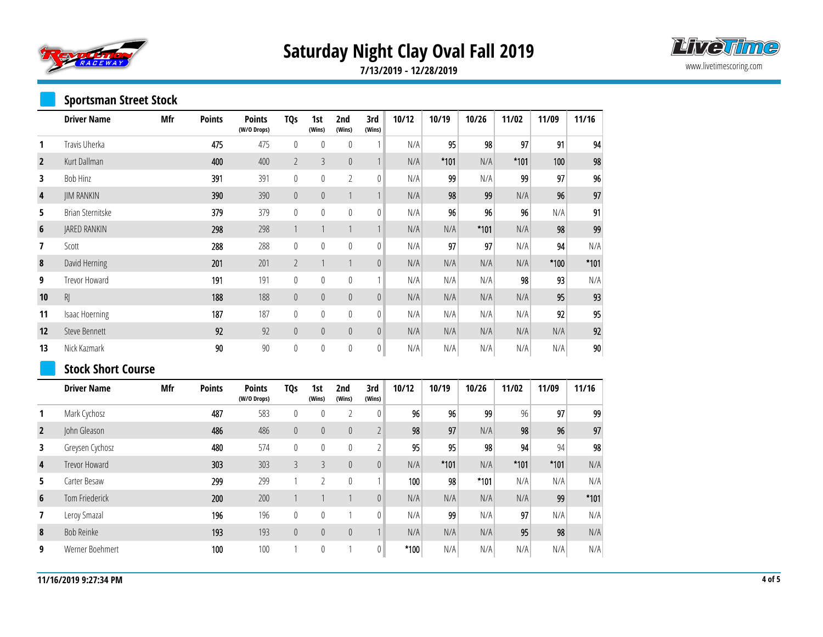



**7/13/2019 - 12/28/2019**

#### **Sportsman Street Stock**

|                  | <b>Driver Name</b>        | Mfr        | <b>Points</b> | <b>Points</b><br>(W/O Drops) | <b>TQs</b>       | 1st<br>(Wins)    | 2nd<br>(Wins)  | 3rd<br>(Wins)    | 10/12  | 10/19  | 10/26  | 11/02  | 11/09  | 11/16  |
|------------------|---------------------------|------------|---------------|------------------------------|------------------|------------------|----------------|------------------|--------|--------|--------|--------|--------|--------|
| 1                | Travis Uherka             |            | 475           | 475                          | $\pmb{0}$        | 0                | $\mathbf 0$    | 1                | N/A    | 95     | 98     | 97     | 91     | 94     |
| $\overline{2}$   | Kurt Dallman              |            | 400           | 400                          | $\overline{2}$   | 3                | $\pmb{0}$      | $\mathbf{1}$     | N/A    | $*101$ | N/A    | $*101$ | 100    | 98     |
| 3                | Bob Hinz                  |            | 391           | 391                          | $\pmb{0}$        | $\mathbf 0$      | $\overline{2}$ | $\mathbf{0}$     | N/A    | 99     | N/A    | 99     | 97     | 96     |
| 4                | <b>JIM RANKIN</b>         |            | 390           | 390                          | $\mathbf 0$      | $\pmb{0}$        | $\mathbf{1}$   | $\mathbf{1}$     | N/A    | 98     | 99     | N/A    | 96     | 97     |
| 5                | Brian Sternitske          |            | 379           | 379                          | $\mathbb O$      | $\bf{0}$         | $\bf{0}$       | $\pmb{0}$        | N/A    | 96     | 96     | 96     | N/A    | 91     |
| $\boldsymbol{6}$ | JARED RANKIN              |            | 298           | 298                          | $\mathbf{1}$     | $\mathbf{1}$     | $\mathbf{1}$   | $\mathbf{1}$     | N/A    | N/A    | $*101$ | N/A    | 98     | 99     |
| 7                | Scott                     |            | 288           | 288                          | $\pmb{0}$        | $\bf{0}$         | $\mathbf 0$    | $\pmb{0}$        | N/A    | 97     | 97     | N/A    | 94     | N/A    |
| 8                | David Herning             |            | 201           | 201                          | $\overline{2}$   | $\mathbf{1}$     | $\mathbf{1}$   | $\mathbf 0$      | N/A    | N/A    | N/A    | N/A    | *100   | $*101$ |
| 9                | Trevor Howard             |            | 191           | 191                          | $\mathbb O$      | $\bf{0}$         | $\bf{0}$       | 1                | N/A    | N/A    | N/A    | 98     | 93     | N/A    |
| 10               | R                         |            | 188           | 188                          | $\mathbb O$      | $\pmb{0}$        | $\pmb{0}$      | $\mathbf 0$      | N/A    | N/A    | N/A    | N/A    | 95     | 93     |
| 11               | <b>Isaac Hoerning</b>     |            | 187           | 187                          | $\mathbb O$      | $\mathbb O$      | $\mathbb O$    | $\boldsymbol{0}$ | N/A    | N/A    | N/A    | N/A    | 92     | 95     |
| 12               | Steve Bennett             |            | 92            | 92                           | $\mathbb O$      | $\pmb{0}$        | $\mathbf{0}$   | $\boldsymbol{0}$ | N/A    | N/A    | N/A    | N/A    | N/A    | 92     |
| 13               | Nick Kazmark              |            | 90            | 90                           | $\mathbf 0$      | $\mathbb O$      | $\mathbb O$    | 0                | N/A    | N/A    | N/A    | N/A    | N/A    | $90\,$ |
|                  | <b>Stock Short Course</b> |            |               |                              |                  |                  |                |                  |        |        |        |        |        |        |
|                  | <b>Driver Name</b>        | <b>Mfr</b> | <b>Points</b> | <b>Points</b><br>(W/O Drops) | TQ <sub>S</sub>  | 1st<br>(Wins)    | 2nd<br>(Wins)  | 3rd<br>(Wins)    | 10/12  | 10/19  | 10/26  | 11/02  | 11/09  | 11/16  |
| 1                | Mark Cychosz              |            | 487           | 583                          | $\mathbb O$      | $\boldsymbol{0}$ | $\overline{2}$ | $\mathbf{0}$     | 96     | 96     | 99     | 96     | 97     | 99     |
| $\overline{2}$   | John Gleason              |            | 486           | 486                          | $\mathbf 0$      | $\mathbf{0}$     | $\mathbf{0}$   | $\overline{2}$   | 98     | 97     | N/A    | 98     | 96     | 97     |
| 3                | Greysen Cychosz           |            | 480           | 574                          | $\boldsymbol{0}$ | $\mathbf 0$      | $\mathbf 0$    | $\overline{2}$   | 95     | 95     | 98     | 94     | 94     | 98     |
| 4                | Trevor Howard             |            | 303           | 303                          | $\mathfrak{Z}$   | $\mathfrak{Z}$   | $\mathbf{0}$   | $\mathbf 0$      | N/A    | $*101$ | N/A    | $*101$ | $*101$ | N/A    |
| 5                | Carter Besaw              |            | 299           | 299                          | $\mathbf{1}$     | 2                | $\mathbb O$    | 1                | 100    | 98     | $*101$ | N/A    | N/A    | N/A    |
| 6                | Tom Friederick            |            | 200           | 200                          | $\mathbf{1}$     | $\mathbf{1}$     | $\mathbf{1}$   | $\mathbf 0$      | N/A    | N/A    | N/A    | N/A    | 99     | $*101$ |
| 7                | Leroy Smazal              |            | 196           | 196                          | $\mathbb{0}$     | $\mathbf 0$      | $\mathbf{1}$   | $\mathbb{0}$     | N/A    | 99     | N/A    | 97     | N/A    | N/A    |
| 8                | <b>Bob Reinke</b>         |            | 193           | 193                          | $\theta$         | $\overline{0}$   | $\theta$       | $\mathbf{1}$     | N/A    | N/A    | N/A    | 95     | 98     | N/A    |
| 9                | Werner Boehmert           |            | 100           | 100                          | $\mathbf{1}$     | 0                | 1              | $\mathbf{0}$     | $*100$ | N/A    | N/A    | N/A    | N/A    | N/A    |